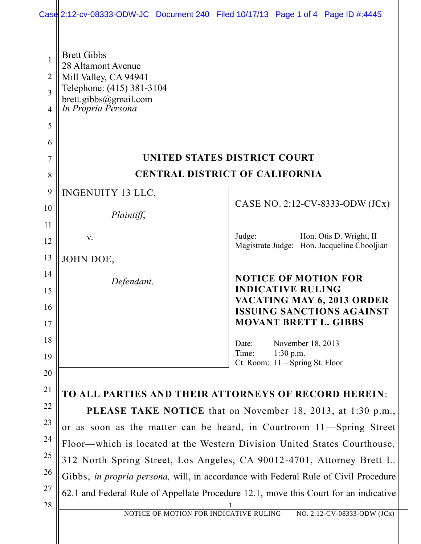|                                                              |                                                                                                                                                                             | Case 2:12-cv-08333-ODW-JC Document 240 Filed 10/17/13 Page 1 of 4 Page ID #:4445 |
|--------------------------------------------------------------|-----------------------------------------------------------------------------------------------------------------------------------------------------------------------------|----------------------------------------------------------------------------------|
| 1<br>$\overline{2}$<br>$\overline{3}$<br>$\overline{4}$<br>5 | <b>Brett Gibbs</b><br>28 Altamont Avenue<br>Mill Valley, CA 94941<br>Telephone: (415) 381-3104<br>brett.gibbs@gmail.com<br>In Propria Persona                               |                                                                                  |
| 6                                                            |                                                                                                                                                                             |                                                                                  |
| 7                                                            |                                                                                                                                                                             | UNITED STATES DISTRICT COURT                                                     |
| 8                                                            |                                                                                                                                                                             | <b>CENTRAL DISTRICT OF CALIFORNIA</b>                                            |
| 9                                                            | INGENUITY 13 LLC,                                                                                                                                                           |                                                                                  |
| 10                                                           | Plaintiff,                                                                                                                                                                  | CASE NO. 2:12-CV-8333-ODW (JCx)                                                  |
| 11                                                           |                                                                                                                                                                             |                                                                                  |
| 12                                                           | V.                                                                                                                                                                          | Judge:<br>Hon. Otis D. Wright, II<br>Magistrate Judge: Hon. Jacqueline Chooljian |
| 13                                                           | JOHN DOE,                                                                                                                                                                   |                                                                                  |
| 14                                                           | Defendant.                                                                                                                                                                  | <b>NOTICE OF MOTION FOR</b>                                                      |
| 15                                                           |                                                                                                                                                                             | <b>INDICATIVE RULING</b><br>VACATING MAY 6, 2013 ORDER                           |
| 16                                                           |                                                                                                                                                                             | <b>ISSUING SANCTIONS AGAINST</b>                                                 |
| 17                                                           |                                                                                                                                                                             | <b>MOVANT BRETT L. GIBBS</b>                                                     |
| 18                                                           |                                                                                                                                                                             | November 18, 2013<br>Date:<br>Time:<br>$1:30$ p.m.                               |
| 19                                                           |                                                                                                                                                                             | Ct. Room: $11 -$ Spring St. Floor                                                |
| 20<br>21                                                     |                                                                                                                                                                             |                                                                                  |
| 22                                                           |                                                                                                                                                                             | TO ALL PARTIES AND THEIR ATTORNEYS OF RECORD HEREIN:                             |
| 23                                                           |                                                                                                                                                                             | <b>PLEASE TAKE NOTICE</b> that on November 18, 2013, at 1:30 p.m.,               |
| 24                                                           |                                                                                                                                                                             | or as soon as the matter can be heard, in Courtroom 11—Spring Street             |
| 25                                                           |                                                                                                                                                                             | Floor—which is located at the Western Division United States Courthouse,         |
| 26                                                           | 312 North Spring Street, Los Angeles, CA 90012-4701, Attorney Brett L.                                                                                                      |                                                                                  |
| 27                                                           | Gibbs, in propria persona, will, in accordance with Federal Rule of Civil Procedure<br>62.1 and Federal Rule of Appellate Procedure 12.1, move this Court for an indicative |                                                                                  |
| 28                                                           |                                                                                                                                                                             |                                                                                  |
|                                                              | NOTICE OF MOTION FOR INDICATIVE RULING                                                                                                                                      | NO. 2:12-CV-08333-ODW (JCx)                                                      |
|                                                              |                                                                                                                                                                             |                                                                                  |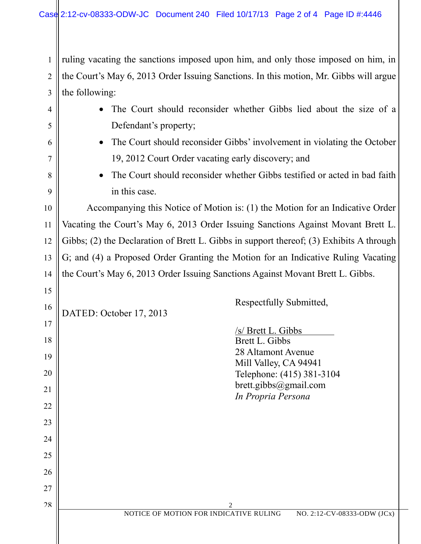1 2  $3$  || the following: ruling vacating the sanctions imposed upon him, and only those imposed on him, in the Court's May 6, 2013 Order Issuing Sanctions. In this motion, Mr. Gibbs will argue

| $\overline{4}$ | The Court should reconsider whether Gibbs lied about the size of a                      |
|----------------|-----------------------------------------------------------------------------------------|
| 5              | Defendant's property;                                                                   |
| 6              | The Court should reconsider Gibbs' involvement in violating the October<br>$\bullet$    |
| 7              | 19, 2012 Court Order vacating early discovery; and                                      |
| 8              | The Court should reconsider whether Gibbs testified or acted in bad faith<br>$\bullet$  |
| 9              | in this case.                                                                           |
| 10             | Accompanying this Notice of Motion is: (1) the Motion for an Indicative Order           |
| 11             | Vacating the Court's May 6, 2013 Order Issuing Sanctions Against Movant Brett L.        |
| 12             | Gibbs; (2) the Declaration of Brett L. Gibbs in support thereof; (3) Exhibits A through |
| 13             | G; and (4) a Proposed Order Granting the Motion for an Indicative Ruling Vacating       |
| 14             | the Court's May 6, 2013 Order Issuing Sanctions Against Movant Brett L. Gibbs.          |
| 15             |                                                                                         |
| 16             | Respectfully Submitted,<br>DATED: October 17, 2013                                      |
| 17             | /s/ Brett L. Gibbs                                                                      |
| 18             | Brett L. Gibbs                                                                          |
| 19             | 28 Altamont Avenue<br>Mill Valley, CA 94941                                             |
| 20             | Telephone: (415) 381-3104                                                               |
| 21             | brett.gibbs@gmail.com<br>In Propria Persona                                             |
| 22             |                                                                                         |
| 23             |                                                                                         |
| 24             |                                                                                         |
| 25             |                                                                                         |
| 26             |                                                                                         |
| 27             |                                                                                         |
| 28             | $\overline{c}$<br>NOTICE OF MOTION FOR INDICATIVE RULING<br>NO. 2:12-CV-08333-ODW (JCx) |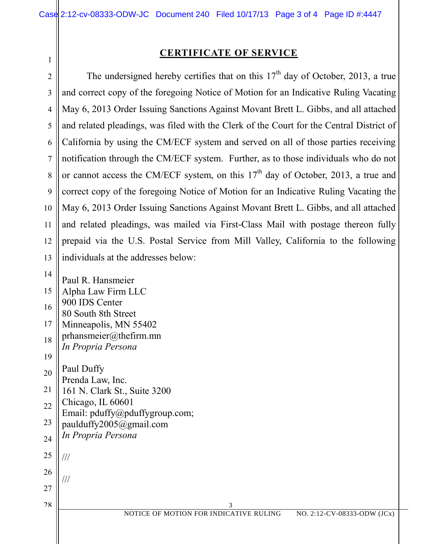1

## **CERTIFICATE OF SERVICE**

2 3 4 5 6 7 8 9 10 11 12 13 The undersigned hereby certifies that on this  $17<sup>th</sup>$  day of October, 2013, a true and correct copy of the foregoing Notice of Motion for an Indicative Ruling Vacating May 6, 2013 Order Issuing Sanctions Against Movant Brett L. Gibbs, and all attached and related pleadings, was filed with the Clerk of the Court for the Central District of California by using the CM/ECF system and served on all of those parties receiving notification through the CM/ECF system. Further, as to those individuals who do not or cannot access the CM/ECF system, on this  $17<sup>th</sup>$  day of October, 2013, a true and correct copy of the foregoing Notice of Motion for an Indicative Ruling Vacating the May 6, 2013 Order Issuing Sanctions Against Movant Brett L. Gibbs, and all attached and related pleadings, was mailed via First-Class Mail with postage thereon fully prepaid via the U.S. Postal Service from Mill Valley, California to the following individuals at the addresses below:

 3 NOTICE OF MOTION FOR INDICATIVE RULING NO. 2:12-CV-08333-ODW (JCx) 14 15 16 17 18 19 20 21 22 23 24 25 26 27 28 Paul R. Hansmeier Alpha Law Firm LLC 900 IDS Center 80 South 8th Street Minneapolis, MN 55402 prhansmeier@thefirm.mn *In Propria Persona* Paul Duffy Prenda Law, Inc. 161 N. Clark St., Suite 3200 Chicago, IL 60601 Email: pduffy@pduffygroup.com; paulduffy2005@gmail.com *In Propria Persona* /// ///